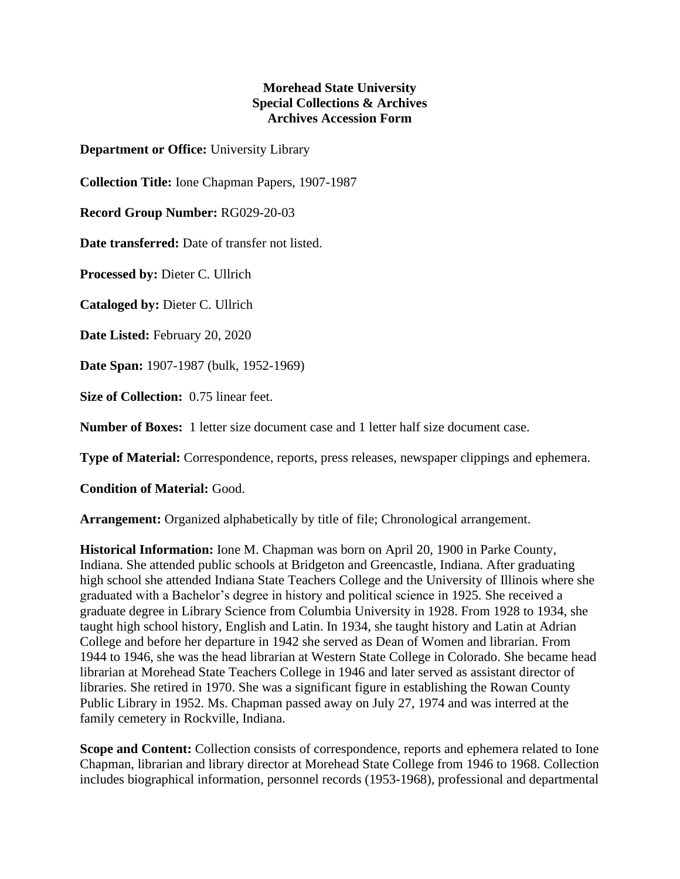## **Morehead State University Special Collections & Archives Archives Accession Form**

**Department or Office:** University Library

**Collection Title:** Ione Chapman Papers, 1907-1987

**Record Group Number:** RG029-20-03

**Date transferred:** Date of transfer not listed.

**Processed by:** Dieter C. Ullrich

**Cataloged by:** Dieter C. Ullrich

**Date Listed:** February 20, 2020

**Date Span:** 1907-1987 (bulk, 1952-1969)

**Size of Collection:** 0.75 linear feet.

**Number of Boxes:** 1 letter size document case and 1 letter half size document case.

**Type of Material:** Correspondence, reports, press releases, newspaper clippings and ephemera.

**Condition of Material:** Good.

**Arrangement:** Organized alphabetically by title of file; Chronological arrangement.

**Historical Information:** Ione M. Chapman was born on April 20, 1900 in Parke County, Indiana. She attended public schools at Bridgeton and Greencastle, Indiana. After graduating high school she attended Indiana State Teachers College and the University of Illinois where she graduated with a Bachelor's degree in history and political science in 1925. She received a graduate degree in Library Science from Columbia University in 1928. From 1928 to 1934, she taught high school history, English and Latin. In 1934, she taught history and Latin at Adrian College and before her departure in 1942 she served as Dean of Women and librarian. From 1944 to 1946, she was the head librarian at Western State College in Colorado. She became head librarian at Morehead State Teachers College in 1946 and later served as assistant director of libraries. She retired in 1970. She was a significant figure in establishing the Rowan County Public Library in 1952. Ms. Chapman passed away on July 27, 1974 and was interred at the family cemetery in Rockville, Indiana.

**Scope and Content:** Collection consists of correspondence, reports and ephemera related to Ione Chapman, librarian and library director at Morehead State College from 1946 to 1968. Collection includes biographical information, personnel records (1953-1968), professional and departmental